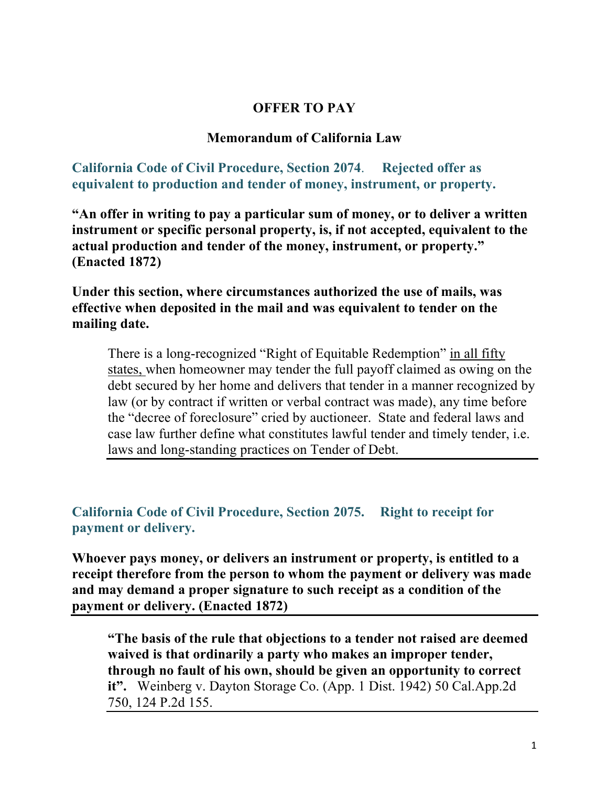# **OFFER TO PAY**

### **Memorandum of California Law**

**California Code of Civil Procedure, Section 2074**. **Rejected offer as equivalent to production and tender of money, instrument, or property.** 

**"An offer in writing to pay a particular sum of money, or to deliver a written instrument or specific personal property, is, if not accepted, equivalent to the actual production and tender of the money, instrument, or property." (Enacted 1872)** 

**Under this section, where circumstances authorized the use of mails, was effective when deposited in the mail and was equivalent to tender on the mailing date.** 

There is a long-recognized "Right of Equitable Redemption" in all fifty states, when homeowner may tender the full payoff claimed as owing on the debt secured by her home and delivers that tender in a manner recognized by law (or by contract if written or verbal contract was made), any time before the "decree of foreclosure" cried by auctioneer. State and federal laws and case law further define what constitutes lawful tender and timely tender, i.e. laws and long-standing practices on Tender of Debt.

**California Code of Civil Procedure, Section 2075. Right to receipt for payment or delivery.** 

**Whoever pays money, or delivers an instrument or property, is entitled to a receipt therefore from the person to whom the payment or delivery was made and may demand a proper signature to such receipt as a condition of the payment or delivery. (Enacted 1872)** 

**"The basis of the rule that objections to a tender not raised are deemed waived is that ordinarily a party who makes an improper tender, through no fault of his own, should be given an opportunity to correct it".** Weinberg v. Dayton Storage Co. (App. 1 Dist. 1942) 50 Cal.App.2d 750, 124 P.2d 155.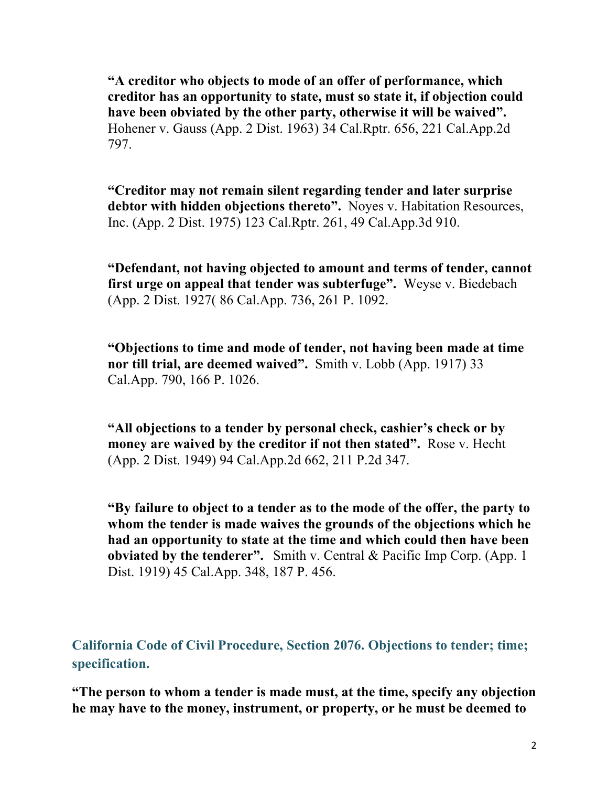**"A creditor who objects to mode of an offer of performance, which creditor has an opportunity to state, must so state it, if objection could have been obviated by the other party, otherwise it will be waived".**  Hohener v. Gauss (App. 2 Dist. 1963) 34 Cal.Rptr. 656, 221 Cal.App.2d 797.

**"Creditor may not remain silent regarding tender and later surprise debtor with hidden objections thereto".** Noyes v. Habitation Resources, Inc. (App. 2 Dist. 1975) 123 Cal.Rptr. 261, 49 Cal.App.3d 910.

**"Defendant, not having objected to amount and terms of tender, cannot first urge on appeal that tender was subterfuge".** Weyse v. Biedebach (App. 2 Dist. 1927( 86 Cal.App. 736, 261 P. 1092.

**"Objections to time and mode of tender, not having been made at time nor till trial, are deemed waived".** Smith v. Lobb (App. 1917) 33 Cal.App. 790, 166 P. 1026.

**"All objections to a tender by personal check, cashier's check or by money are waived by the creditor if not then stated".** Rose v. Hecht (App. 2 Dist. 1949) 94 Cal.App.2d 662, 211 P.2d 347.

**"By failure to object to a tender as to the mode of the offer, the party to whom the tender is made waives the grounds of the objections which he had an opportunity to state at the time and which could then have been obviated by the tenderer".** Smith v. Central & Pacific Imp Corp. (App. 1 Dist. 1919) 45 Cal.App. 348, 187 P. 456.

**California Code of Civil Procedure, Section 2076. Objections to tender; time; specification.** 

**"The person to whom a tender is made must, at the time, specify any objection he may have to the money, instrument, or property, or he must be deemed to**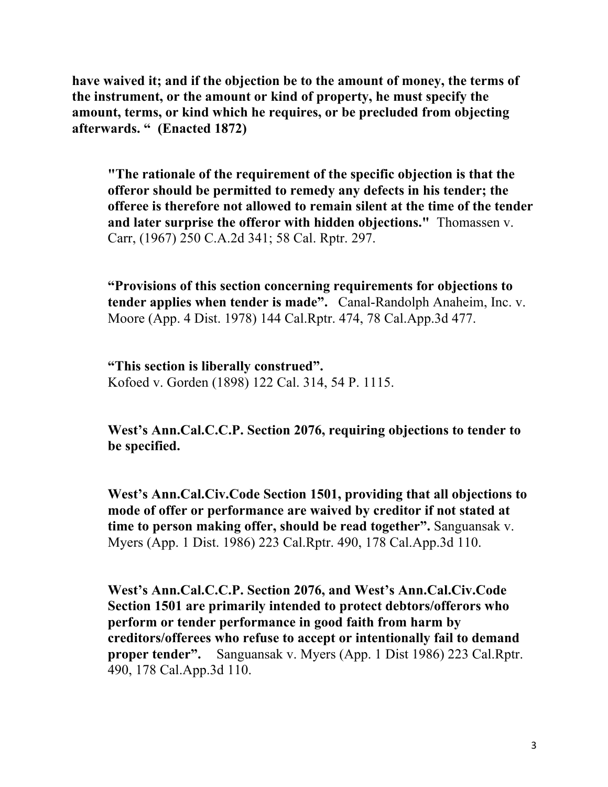**have waived it; and if the objection be to the amount of money, the terms of the instrument, or the amount or kind of property, he must specify the amount, terms, or kind which he requires, or be precluded from objecting afterwards. " (Enacted 1872)** 

**"The rationale of the requirement of the specific objection is that the offeror should be permitted to remedy any defects in his tender; the offeree is therefore not allowed to remain silent at the time of the tender and later surprise the offeror with hidden objections."** Thomassen v. Carr, (1967) 250 C.A.2d 341; 58 Cal. Rptr. 297.

**"Provisions of this section concerning requirements for objections to tender applies when tender is made".** Canal-Randolph Anaheim, Inc. v. Moore (App. 4 Dist. 1978) 144 Cal.Rptr. 474, 78 Cal.App.3d 477.

**"This section is liberally construed".** Kofoed v. Gorden (1898) 122 Cal. 314, 54 P. 1115.

**West's Ann.Cal.C.C.P. Section 2076, requiring objections to tender to be specified.**

**West's Ann.Cal.Civ.Code Section 1501, providing that all objections to mode of offer or performance are waived by creditor if not stated at time to person making offer, should be read together".** Sanguansak v. Myers (App. 1 Dist. 1986) 223 Cal.Rptr. 490, 178 Cal.App.3d 110.

**West's Ann.Cal.C.C.P. Section 2076, and West's Ann.Cal.Civ.Code Section 1501 are primarily intended to protect debtors/offerors who perform or tender performance in good faith from harm by creditors/offerees who refuse to accept or intentionally fail to demand proper tender".** Sanguansak v. Myers (App. 1 Dist 1986) 223 Cal.Rptr. 490, 178 Cal.App.3d 110.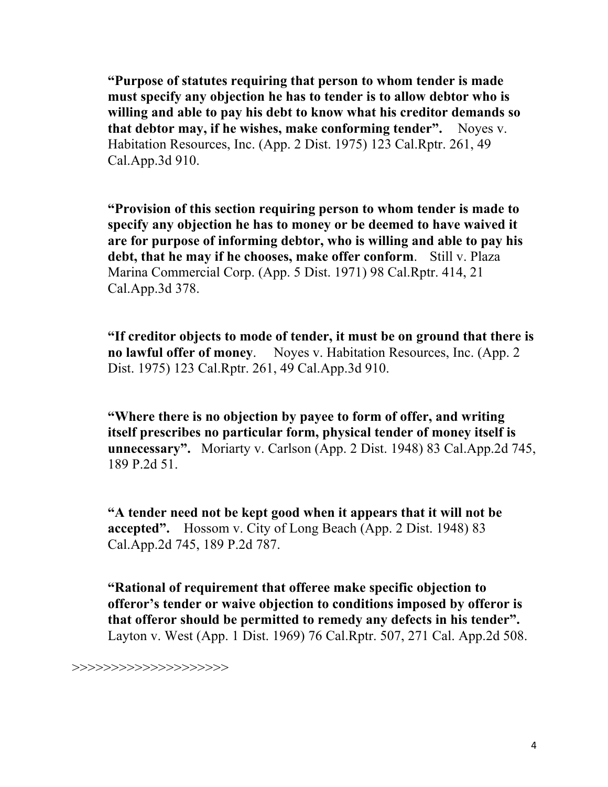**"Purpose of statutes requiring that person to whom tender is made must specify any objection he has to tender is to allow debtor who is willing and able to pay his debt to know what his creditor demands so that debtor may, if he wishes, make conforming tender".** Noyes v. Habitation Resources, Inc. (App. 2 Dist. 1975) 123 Cal.Rptr. 261, 49 Cal.App.3d 910.

**"Provision of this section requiring person to whom tender is made to specify any objection he has to money or be deemed to have waived it are for purpose of informing debtor, who is willing and able to pay his debt, that he may if he chooses, make offer conform**. Still v. Plaza Marina Commercial Corp. (App. 5 Dist. 1971) 98 Cal.Rptr. 414, 21 Cal.App.3d 378.

**"If creditor objects to mode of tender, it must be on ground that there is no lawful offer of money**. Noyes v. Habitation Resources, Inc. (App. 2 Dist. 1975) 123 Cal.Rptr. 261, 49 Cal.App.3d 910.

**"Where there is no objection by payee to form of offer, and writing itself prescribes no particular form, physical tender of money itself is unnecessary".** Moriarty v. Carlson (App. 2 Dist. 1948) 83 Cal.App.2d 745, 189 P.2d 51.

**"A tender need not be kept good when it appears that it will not be accepted".** Hossom v. City of Long Beach (App. 2 Dist. 1948) 83 Cal.App.2d 745, 189 P.2d 787.

**"Rational of requirement that offeree make specific objection to offeror's tender or waive objection to conditions imposed by offeror is that offeror should be permitted to remedy any defects in his tender".**  Layton v. West (App. 1 Dist. 1969) 76 Cal.Rptr. 507, 271 Cal. App.2d 508.

>>>>>>>>>>>>>>>>>>>>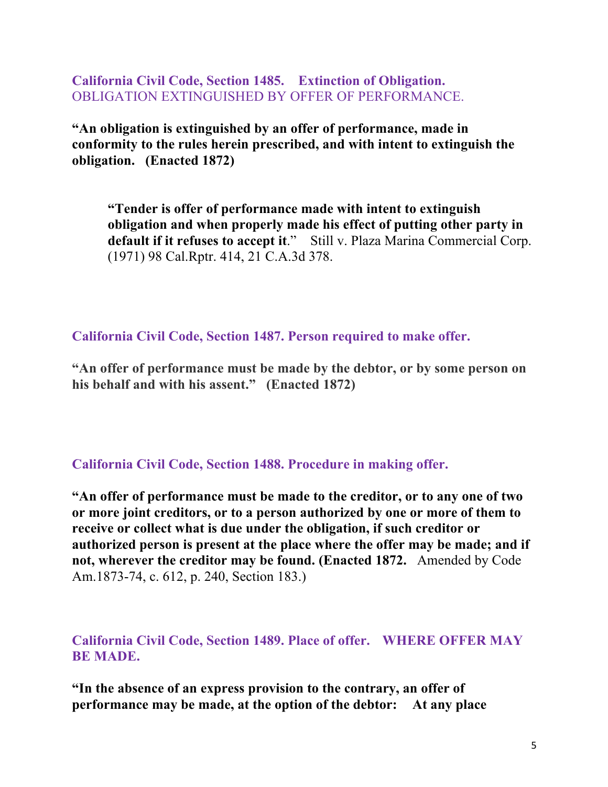**California Civil Code, Section 1485. Extinction of Obligation.**  OBLIGATION EXTINGUISHED BY OFFER OF PERFORMANCE.

**"An obligation is extinguished by an offer of performance, made in conformity to the rules herein prescribed, and with intent to extinguish the obligation. (Enacted 1872)** 

**"Tender is offer of performance made with intent to extinguish obligation and when properly made his effect of putting other party in default if it refuses to accept it**." Still v. Plaza Marina Commercial Corp. (1971) 98 Cal.Rptr. 414, 21 C.A.3d 378.

**California Civil Code, Section 1487. Person required to make offer.**

**"An offer of performance must be made by the debtor, or by some person on his behalf and with his assent." (Enacted 1872)**

**California Civil Code, Section 1488. Procedure in making offer.** 

**"An offer of performance must be made to the creditor, or to any one of two or more joint creditors, or to a person authorized by one or more of them to receive or collect what is due under the obligation, if such creditor or authorized person is present at the place where the offer may be made; and if not, wherever the creditor may be found. (Enacted 1872.** Amended by Code Am.1873-74, c. 612, p. 240, Section 183.)

**California Civil Code, Section 1489. Place of offer. WHERE OFFER MAY BE MADE.** 

**"In the absence of an express provision to the contrary, an offer of performance may be made, at the option of the debtor: At any place**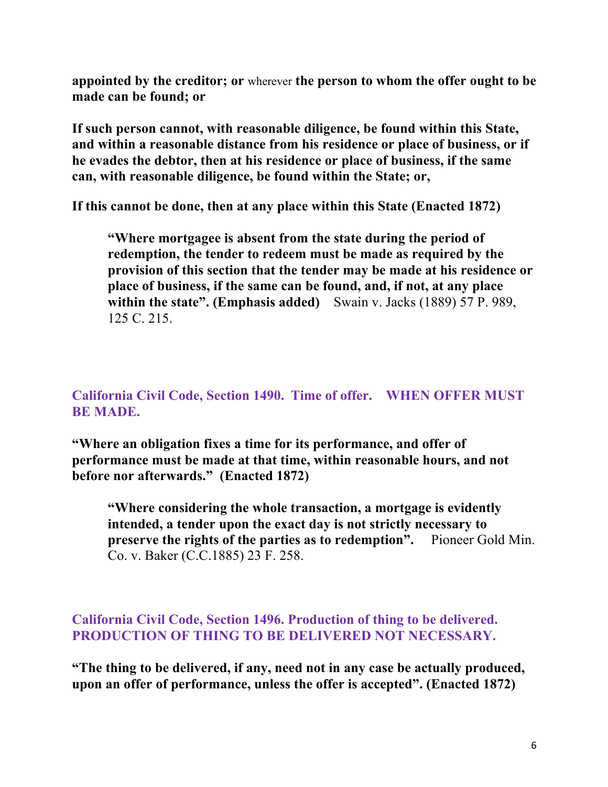**appointed by the creditor; or** wherever **the person to whom the offer ought to be made can be found; or**

**If such person cannot, with reasonable diligence, be found within this State, and within a reasonable distance from his residence or place of business, or if he evades the debtor, then at his residence or place of business, if the same can, with reasonable diligence, be found within the State; or,** 

**If this cannot be done, then at any place within this State (Enacted 1872)** 

**"Where mortgagee is absent from the state during the period of redemption, the tender to redeem must be made as required by the provision of this section that the tender may be made at his residence or place of business, if the same can be found, and, if not, at any place within the state". (Emphasis added)** Swain v. Jacks (1889) 57 P. 989, 125 C. 215.

**California Civil Code, Section 1490. Time of offer. WHEN OFFER MUST BE MADE.** 

**"Where an obligation fixes a time for its performance, and offer of performance must be made at that time, within reasonable hours, and not before nor afterwards." (Enacted 1872)** 

**"Where considering the whole transaction, a mortgage is evidently intended, a tender upon the exact day is not strictly necessary to preserve the rights of the parties as to redemption".** Pioneer Gold Min. Co. v. Baker (C.C.1885) 23 F. 258.

**California Civil Code, Section 1496. Production of thing to be delivered. PRODUCTION OF THING TO BE DELIVERED NOT NECESSARY.** 

**"The thing to be delivered, if any, need not in any case be actually produced, upon an offer of performance, unless the offer is accepted". (Enacted 1872)**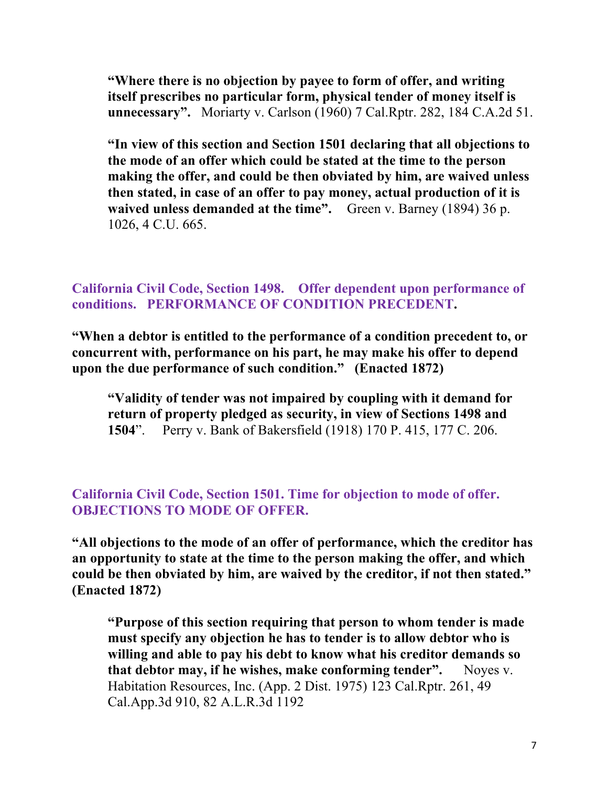**"Where there is no objection by payee to form of offer, and writing itself prescribes no particular form, physical tender of money itself is unnecessary".** Moriarty v. Carlson (1960) 7 Cal.Rptr. 282, 184 C.A.2d 51.

**"In view of this section and Section 1501 declaring that all objections to the mode of an offer which could be stated at the time to the person making the offer, and could be then obviated by him, are waived unless then stated, in case of an offer to pay money, actual production of it is waived unless demanded at the time".** Green v. Barney (1894) 36 p. 1026, 4 C.U. 665.

**California Civil Code, Section 1498. Offer dependent upon performance of conditions. PERFORMANCE OF CONDITION PRECEDENT.** 

**"When a debtor is entitled to the performance of a condition precedent to, or concurrent with, performance on his part, he may make his offer to depend upon the due performance of such condition." (Enacted 1872)** 

**"Validity of tender was not impaired by coupling with it demand for return of property pledged as security, in view of Sections 1498 and 1504**". Perry v. Bank of Bakersfield (1918) 170 P. 415, 177 C. 206.

**California Civil Code, Section 1501. Time for objection to mode of offer. OBJECTIONS TO MODE OF OFFER.** 

**"All objections to the mode of an offer of performance, which the creditor has an opportunity to state at the time to the person making the offer, and which could be then obviated by him, are waived by the creditor, if not then stated." (Enacted 1872)** 

**"Purpose of this section requiring that person to whom tender is made must specify any objection he has to tender is to allow debtor who is willing and able to pay his debt to know what his creditor demands so that debtor may, if he wishes, make conforming tender".** Noyes v. Habitation Resources, Inc. (App. 2 Dist. 1975) 123 Cal.Rptr. 261, 49 Cal.App.3d 910, 82 A.L.R.3d 1192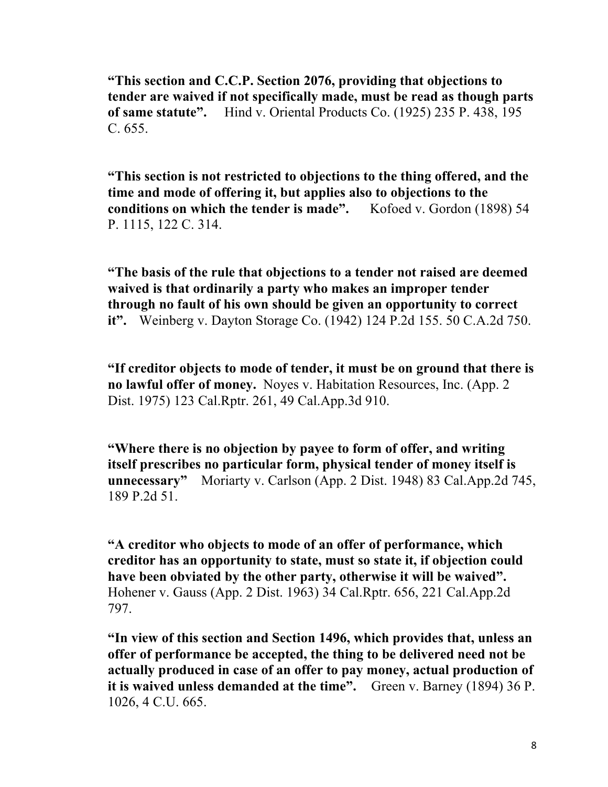**"This section and C.C.P. Section 2076, providing that objections to tender are waived if not specifically made, must be read as though parts of same statute".** Hind v. Oriental Products Co. (1925) 235 P. 438, 195  $C. 655.$ 

**"This section is not restricted to objections to the thing offered, and the time and mode of offering it, but applies also to objections to the conditions on which the tender is made".** Kofoed v. Gordon (1898) 54 P. 1115, 122 C. 314.

**"The basis of the rule that objections to a tender not raised are deemed waived is that ordinarily a party who makes an improper tender through no fault of his own should be given an opportunity to correct it".** Weinberg v. Dayton Storage Co. (1942) 124 P.2d 155. 50 C.A.2d 750.

**"If creditor objects to mode of tender, it must be on ground that there is no lawful offer of money.** Noyes v. Habitation Resources, Inc. (App. 2 Dist. 1975) 123 Cal.Rptr. 261, 49 Cal.App.3d 910.

**"Where there is no objection by payee to form of offer, and writing itself prescribes no particular form, physical tender of money itself is unnecessary"** Moriarty v. Carlson (App. 2 Dist. 1948) 83 Cal.App.2d 745, 189 P.2d 51.

**"A creditor who objects to mode of an offer of performance, which creditor has an opportunity to state, must so state it, if objection could have been obviated by the other party, otherwise it will be waived".**  Hohener v. Gauss (App. 2 Dist. 1963) 34 Cal.Rptr. 656, 221 Cal.App.2d 797.

**"In view of this section and Section 1496, which provides that, unless an offer of performance be accepted, the thing to be delivered need not be actually produced in case of an offer to pay money, actual production of it is waived unless demanded at the time".** Green v. Barney (1894) 36 P. 1026, 4 C.U. 665.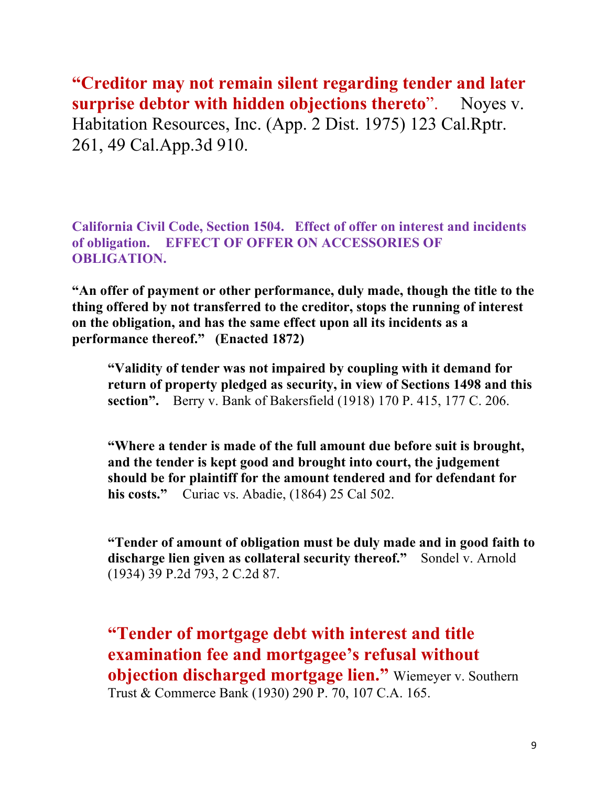**"Creditor may not remain silent regarding tender and later surprise debtor with hidden objections thereto**". Noyes v. Habitation Resources, Inc. (App. 2 Dist. 1975) 123 Cal.Rptr. 261, 49 Cal.App.3d 910.

**California Civil Code, Section 1504. Effect of offer on interest and incidents of obligation. EFFECT OF OFFER ON ACCESSORIES OF OBLIGATION.** 

**"An offer of payment or other performance, duly made, though the title to the thing offered by not transferred to the creditor, stops the running of interest on the obligation, and has the same effect upon all its incidents as a performance thereof." (Enacted 1872)** 

**"Validity of tender was not impaired by coupling with it demand for return of property pledged as security, in view of Sections 1498 and this section".** Berry v. Bank of Bakersfield (1918) 170 P. 415, 177 C. 206.

**"Where a tender is made of the full amount due before suit is brought, and the tender is kept good and brought into court, the judgement should be for plaintiff for the amount tendered and for defendant for his costs."** Curiac vs. Abadie, (1864) 25 Cal 502.

**"Tender of amount of obligation must be duly made and in good faith to discharge lien given as collateral security thereof."** Sondel v. Arnold (1934) 39 P.2d 793, 2 C.2d 87.

**"Tender of mortgage debt with interest and title examination fee and mortgagee's refusal without objection discharged mortgage lien."** Wiemeyer v. Southern Trust & Commerce Bank (1930) 290 P. 70, 107 C.A. 165.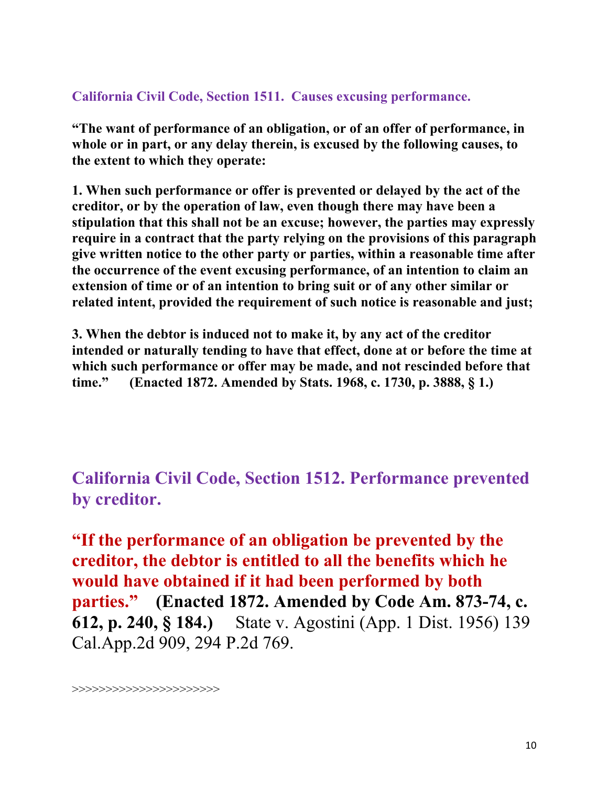## **California Civil Code, Section 1511. Causes excusing performance.**

**"The want of performance of an obligation, or of an offer of performance, in whole or in part, or any delay therein, is excused by the following causes, to the extent to which they operate:** 

**1. When such performance or offer is prevented or delayed by the act of the creditor, or by the operation of law, even though there may have been a stipulation that this shall not be an excuse; however, the parties may expressly require in a contract that the party relying on the provisions of this paragraph give written notice to the other party or parties, within a reasonable time after the occurrence of the event excusing performance, of an intention to claim an extension of time or of an intention to bring suit or of any other similar or related intent, provided the requirement of such notice is reasonable and just;** 

**3. When the debtor is induced not to make it, by any act of the creditor intended or naturally tending to have that effect, done at or before the time at which such performance or offer may be made, and not rescinded before that time." (Enacted 1872. Amended by Stats. 1968, c. 1730, p. 3888, § 1.)** 

**California Civil Code, Section 1512. Performance prevented by creditor.** 

**"If the performance of an obligation be prevented by the creditor, the debtor is entitled to all the benefits which he would have obtained if it had been performed by both parties." (Enacted 1872. Amended by Code Am. 873-74, c. 612, p. 240, § 184.)** State v. Agostini (App. 1 Dist. 1956) 139 Cal.App.2d 909, 294 P.2d 769.

>>>>>>>>>>>>>>>>>>>>>>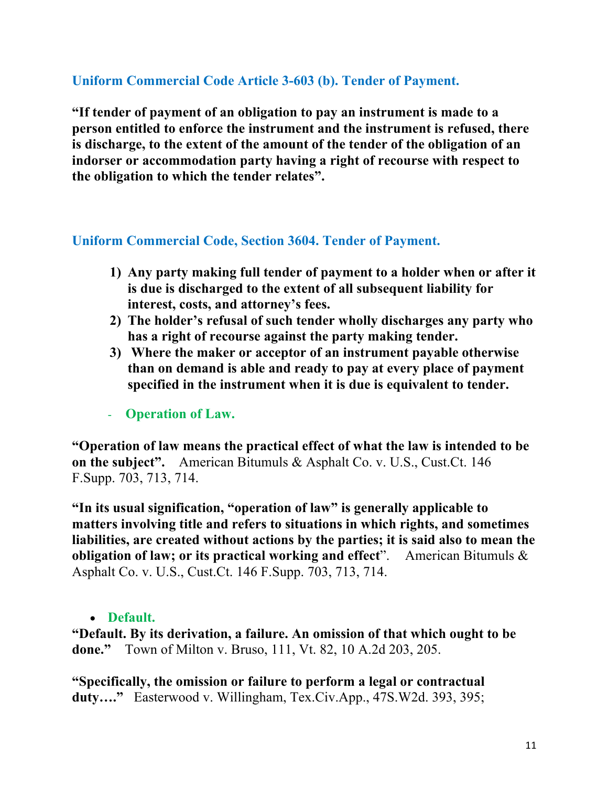# **Uniform Commercial Code Article 3-603 (b). Tender of Payment.**

**"If tender of payment of an obligation to pay an instrument is made to a person entitled to enforce the instrument and the instrument is refused, there is discharge, to the extent of the amount of the tender of the obligation of an indorser or accommodation party having a right of recourse with respect to the obligation to which the tender relates".** 

#### **Uniform Commercial Code, Section 3604. Tender of Payment.**

- **1) Any party making full tender of payment to a holder when or after it is due is discharged to the extent of all subsequent liability for interest, costs, and attorney's fees.**
- **2) The holder's refusal of such tender wholly discharges any party who has a right of recourse against the party making tender.**
- **3) Where the maker or acceptor of an instrument payable otherwise than on demand is able and ready to pay at every place of payment specified in the instrument when it is due is equivalent to tender.**
- **Operation of Law.**

**"Operation of law means the practical effect of what the law is intended to be on the subject".** American Bitumuls & Asphalt Co. v. U.S., Cust.Ct. 146 F.Supp. 703, 713, 714.

**"In its usual signification, "operation of law" is generally applicable to matters involving title and refers to situations in which rights, and sometimes liabilities, are created without actions by the parties; it is said also to mean the obligation of law; or its practical working and effect**". American Bitumuls & Asphalt Co. v. U.S., Cust.Ct. 146 F.Supp. 703, 713, 714.

#### • **Default.**

**"Default. By its derivation, a failure. An omission of that which ought to be done."** Town of Milton v. Bruso, 111, Vt. 82, 10 A.2d 203, 205.

**"Specifically, the omission or failure to perform a legal or contractual duty…."** Easterwood v. Willingham, Tex.Civ.App., 47S.W2d. 393, 395;